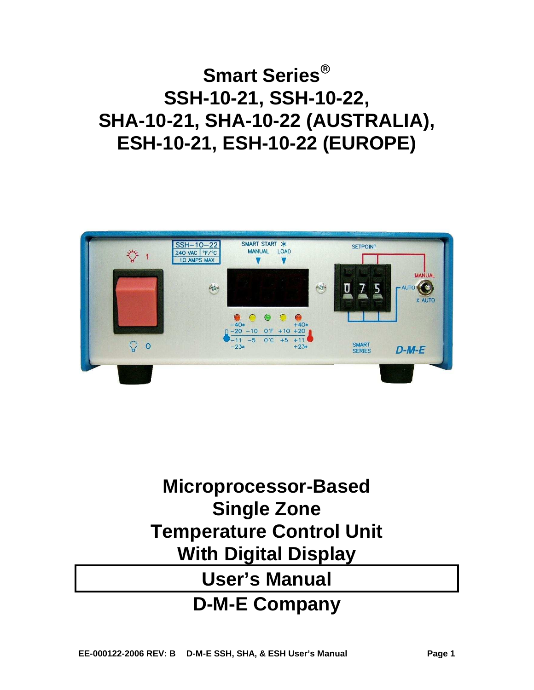# **Smart Series SSH-10-21, SSH-10-22, SHA-10-21, SHA-10-22 (AUSTRALIA), ESH-10-21, ESH-10-22 (EUROPE)**



# **Microprocessor-Based Single Zone Temperature Control Unit With Digital Display User's Manual**

## **D-M-E Company**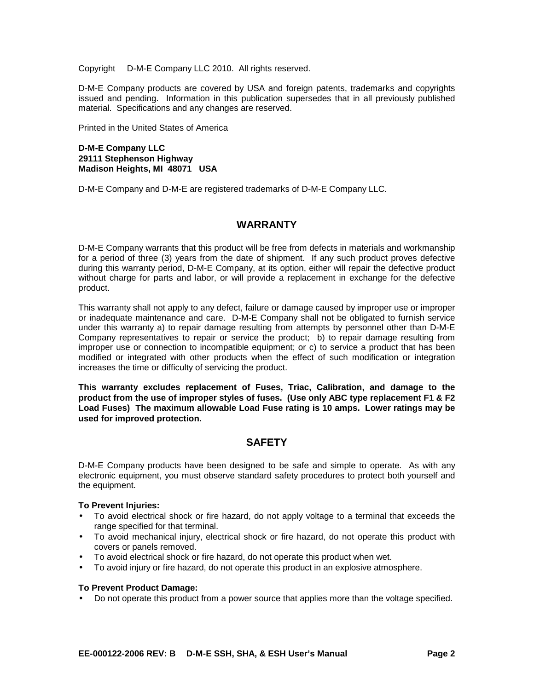Copyright © D-M-E Company LLC 2010. All rights reserved.

D-M-E Company products are covered by USA and foreign patents, trademarks and copyrights issued and pending. Information in this publication supersedes that in all previously published material. Specifications and any changes are reserved.

Printed in the United States of America

#### **D-M-E Company LLC 29111 Stephenson Highway Madison Heights, MI 48071 USA**

D-M-E Company and D-M-E are registered trademarks of D-M-E Company LLC.

#### **WARRANTY**

D-M-E Company warrants that this product will be free from defects in materials and workmanship for a period of three (3) years from the date of shipment. If any such product proves defective during this warranty period, D-M-E Company, at its option, either will repair the defective product without charge for parts and labor, or will provide a replacement in exchange for the defective product.

This warranty shall not apply to any defect, failure or damage caused by improper use or improper or inadequate maintenance and care. D-M-E Company shall not be obligated to furnish service under this warranty a) to repair damage resulting from attempts by personnel other than D-M-E Company representatives to repair or service the product; b) to repair damage resulting from improper use or connection to incompatible equipment; or c) to service a product that has been modified or integrated with other products when the effect of such modification or integration increases the time or difficulty of servicing the product.

**This warranty excludes replacement of Fuses, Triac, Calibration, and damage to the product from the use of improper styles of fuses. (Use only ABC type replacement F1 & F2 Load Fuses) The maximum allowable Load Fuse rating is 10 amps. Lower ratings may be used for improved protection.** 

#### **SAFETY**

D-M-E Company products have been designed to be safe and simple to operate. As with any electronic equipment, you must observe standard safety procedures to protect both yourself and the equipment.

#### **To Prevent Injuries:**

- To avoid electrical shock or fire hazard, do not apply voltage to a terminal that exceeds the range specified for that terminal.
- To avoid mechanical injury, electrical shock or fire hazard, do not operate this product with covers or panels removed.
- To avoid electrical shock or fire hazard, do not operate this product when wet.
- To avoid injury or fire hazard, do not operate this product in an explosive atmosphere.

#### **To Prevent Product Damage:**

• Do not operate this product from a power source that applies more than the voltage specified.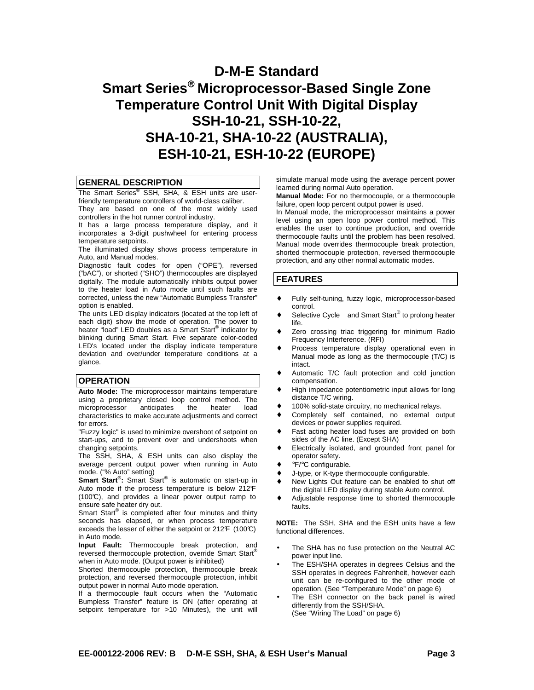### **D-M-E Standard Smart Series Microprocessor-Based Single Zone Temperature Control Unit With Digital Display SSH-10-21, SSH-10-22, SHA-10-21, SHA-10-22 (AUSTRALIA), ESH-10-21, ESH-10-22 (EUROPE)**

#### **GENERAL DESCRIPTION**

The Smart Series<sup>®</sup> SSH, SHA, & ESH units are userfriendly temperature controllers of world-class caliber.

They are based on one of the most widely used controllers in the hot runner control industry.

It has a large process temperature display, and it incorporates a 3-digit pushwheel for entering process temperature setpoints.

The illuminated display shows process temperature in Auto, and Manual modes.

Diagnostic fault codes for open ("OPE"), reversed ("bAC"), or shorted ("SHO") thermocouples are displayed digitally. The module automatically inhibits output power to the heater load in Auto mode until such faults are corrected, unless the new "Automatic Bumpless Transfer" option is enabled.

The units LED display indicators (located at the top left of each digit) show the mode of operation. The power to heater "load" LED doubles as a Smart Start® indicator by blinking during Smart Start. Five separate color-coded LED's located under the display indicate temperature deviation and over/under temperature conditions at a glance.

#### **OPERATION**

**Auto Mode:** The microprocessor maintains temperature using a proprietary closed loop control method. The microprocessor anticipates the heater load characteristics to make accurate adjustments and correct for errors.

"Fuzzy logic" is used to minimize overshoot of setpoint on start-ups, and to prevent over and undershoots when changing setpoints.

The SSH, SHA, & ESH units can also display the average percent output power when running in Auto mode. ("% Auto" setting)

**Smart Start® :** Smart Start® is automatic on start-up in Auto mode if the process temperature is below 212°F  $(100\text{°C})$ , and provides a linear power output ramp to ensure safe heater dry out.

Smart Start<sup>®</sup> is completed after four minutes and thirty seconds has elapsed, or when process temperature exceeds the lesser of either the setpoint or  $212F$  (100°C) in Auto mode.

**Input Fault:** Thermocouple break protection, and reversed thermocouple protection, override Smart Start® when in Auto mode. (Output power is inhibited)

Shorted thermocouple protection, thermocouple break protection, and reversed thermocouple protection, inhibit output power in normal Auto mode operation.

If a thermocouple fault occurs when the "Automatic Bumpless Transfer" feature is ON (after operating at setpoint temperature for >10 Minutes), the unit will

simulate manual mode using the average percent power learned during normal Auto operation.

**Manual Mode:** For no thermocouple, or a thermocouple failure, open loop percent output power is used.

In Manual mode, the microprocessor maintains a power level using an open loop power control method. This enables the user to continue production, and override thermocouple faults until the problem has been resolved. Manual mode overrides thermocouple break protection, shorted thermocouple protection, reversed thermocouple protection, and any other normal automatic modes.

#### **FEATURES**

- Fully self-tuning, fuzzy logic, microprocessor-based control.
- ◆ Selective Cycle<sup>®</sup> and Smart Start<sup>®</sup> to prolong heater life.
- ♦ Zero crossing triac triggering for minimum Radio Frequency Interference. (RFI)
- Process temperature display operational even in Manual mode as long as the thermocouple (T/C) is intact.
- ♦ Automatic T/C fault protection and cold junction compensation.
- ♦ High impedance potentiometric input allows for long distance T/C wiring.
- ♦ 100% solid-state circuitry, no mechanical relays.
- ♦ Completely self contained, no external output devices or power supplies required.
- ♦ Fast acting heater load fuses are provided on both sides of the AC line. (Except SHA)
- Electrically isolated, and grounded front panel for operator safety.
- ♦ °F/°C configurable.
- J-type, or K-type thermocouple configurable.
- ♦ New Lights Out feature can be enabled to shut off the digital LED display during stable Auto control.
- ♦ Adjustable response time to shorted thermocouple faults.

**NOTE:** The SSH, SHA and the ESH units have a few functional differences.

- The SHA has no fuse protection on the Neutral AC power input line.
- The ESH/SHA operates in degrees Celsius and the SSH operates in degrees Fahrenheit, however each unit can be re-configured to the other mode of operation. (See "Temperature Mode" on page 6)
- The ESH connector on the back panel is wired differently from the SSH/SHA. (See "Wiring The Load" on page 6)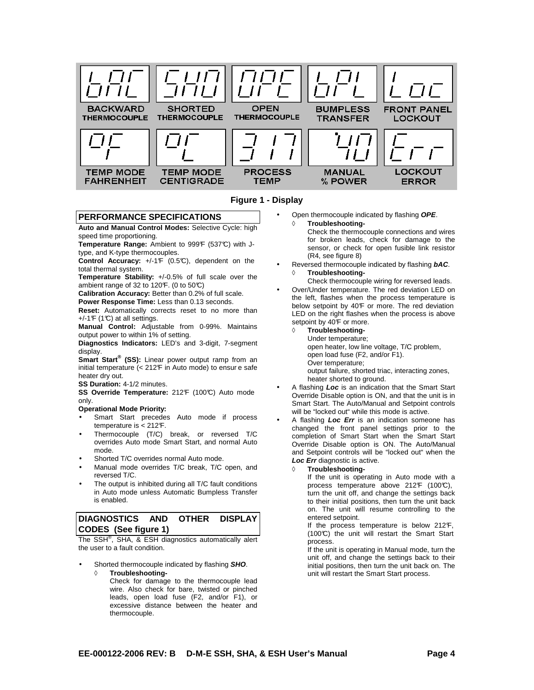



#### **PERFORMANCE SPECIFICATIONS**

**Auto and Manual Control Modes:** Selective Cycle: high speed time proportioning.

Temperature Range: Ambient to 999F (537°C) with Jtype, and K-type thermocouples.

**Control Accuracy:** +/-1°F (0.5°C), dependent on the total thermal system.

**Temperature Stability:** +/-0.5% of full scale over the ambient range of 32 to 120 $F.$  (0 to 50 $C$ )

**Calibration Accuracy:** Better than 0.2% of full scale.

**Power Response Time:** Less than 0.13 seconds.

**Reset:** Automatically corrects reset to no more than  $+/-1$ °F (1°C) at all settings.

**Manual Control:** Adjustable from 0-99%. Maintains output power to within 1% of setting.

**Diagnostics Indicators:** LED's and 3-digit, 7-segment display.

**Smart Start® (SS):** Linear power output ramp from an initial temperature  $( $212F$  in Auto mode) to ensure safe$ heater dry out.

**SS Duration:** 4-1/2 minutes.

SS Override Temperature: 212<sup>F</sup> (100°C) Auto mode only.

#### **Operational Mode Priority:**

- Smart Start precedes Auto mode if process temperature is  $< 212$ °F.
- Thermocouple (T/C) break, or reversed T/C overrides Auto mode Smart Start, and normal Auto mode.
- Shorted T/C overrides normal Auto mode.
- Manual mode overrides T/C break, T/C open, and reversed T/C.
- The output is inhibited during all T/C fault conditions in Auto mode unless Automatic Bumpless Transfer is enabled.

#### **DIAGNOSTICS AND OTHER DISPLAY CODES (See figure 1)**

The  $SSH^{\circledast}$ , SHA, & ESH diagnostics automatically alert the user to a fault condition.

- Shorted thermocouple indicated by flashing **SHO**.
	- ◊ **Troubleshooting-**Check for damage to the thermocouple lead wire. Also check for bare, twisted or pinched leads, open load fuse (F2, and/or F1), or excessive distance between the heater and thermocouple.
- Open thermocouple indicated by flashing **OPE**.
	- ◊ **Troubleshooting-**
		- Check the thermocouple connections and wires for broken leads, check for damage to the sensor, or check for open fusible link resistor (R4, see figure 8)
- Reversed thermocouple indicated by flashing **bAC**. ◊ **Troubleshooting-**

Check thermocouple wiring for reversed leads.

- Over/Under temperature. The red deviation LED on the left, flashes when the process temperature is below setpoint by 40°F or more. The red deviation LED on the right flashes when the process is above setpoint by 40<sup>°</sup>F or more.
	- **Troubleshooting-**
		- Under temperature;

open heater, low line voltage, T/C problem,

- open load fuse (F2, and/or F1).
- Over temperature;

output failure, shorted triac, interacting zones, heater shorted to ground.

- A flashing **Loc** is an indication that the Smart Start Override Disable option is ON, and that the unit is in Smart Start. The Auto/Manual and Setpoint controls will be "locked out" while this mode is active.
- A flashing **Loc Err** is an indication someone has changed the front panel settings prior to the completion of Smart Start when the Smart Start Override Disable option is ON. The Auto/Manual and Setpoint controls will be "locked out" when the **Loc Err** diagnostic is active.
	- **Troubleshooting-**
		- If the unit is operating in Auto mode with a process temperature above 212F (100°C), turn the unit off, and change the settings back to their initial positions, then turn the unit back on. The unit will resume controlling to the entered setpoint.

If the process temperature is below 212°F, (100°C) the unit will restart the Smart Start process.

If the unit is operating in Manual mode, turn the unit off, and change the settings back to their initial positions, then turn the unit back on. The unit will restart the Smart Start process.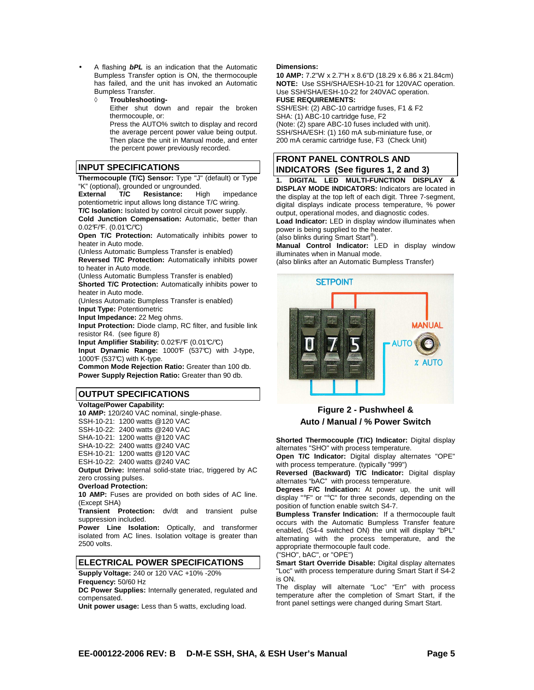- A flashing **bPL** is an indication that the Automatic Bumpless Transfer option is ON, the thermocouple has failed, and the unit has invoked an Automatic Bumpless Transfer.
	- ◊ **Troubleshooting-**

Either shut down and repair the broken thermocouple, or:

Press the AUTO% switch to display and record the average percent power value being output. Then place the unit in Manual mode, and enter the percent power previously recorded.

#### **INPUT SPECIFICATIONS**

**Thermocouple (T/C) Sensor:** Type "J" (default) or Type "K" (optional), grounded or ungrounded.<br> **External T/C Resistance:** Hi

**External T/C Resistance:** High impedance potentiometric input allows long distance T/C wiring. **T/C Isolation:** Isolated by control circuit power supply.

**Cold Junction Compensation:** Automatic, better than  $0.02$ °F/°F. (0.01°C/°C)

**Open T/C Protection:** Automatically inhibits power to heater in Auto mode.

(Unless Automatic Bumpless Transfer is enabled)

**Reversed T/C Protection:** Automatically inhibits power to heater in Auto mode.

(Unless Automatic Bumpless Transfer is enabled) **Shorted T/C Protection:** Automatically inhibits power to

heater in Auto mode. (Unless Automatic Bumpless Transfer is enabled)

**Input Type:** Potentiometric

**Input Impedance:** 22 Meg ohms.

**Input Protection:** Diode clamp, RC filter, and fusible link resistor R4. (see figure 8)

**Input Amplifier Stability:** 0.02°F/°F (0.01°C/°C)

Input Dynamic Range: 1000F (537°C) with J-type, 1000F (537°C) with K-type.

**Common Mode Rejection Ratio:** Greater than 100 db. **Power Supply Rejection Ratio:** Greater than 90 db.

#### **OUTPUT SPECIFICATIONS**

#### **Voltage/Power Capability:**

**10 AMP:** 120/240 VAC nominal, single-phase.

SSH-10-21: 1200 watts @120 VAC

SSH-10-22: 2400 watts @240 VAC

SHA-10-21: 1200 watts @120 VAC

SHA-10-22: 2400 watts @240 VAC

ESH-10-21: 1200 watts @120 VAC ESH-10-22: 2400 watts @240 VAC

**Output Drive:** Internal solid-state triac, triggered by AC zero crossing pulses.

#### **Overload Protection:**

**10 AMP:** Fuses are provided on both sides of AC line. (Except SHA)

**Transient Protection:** dv/dt and transient pulse suppression included.

**Power Line Isolation:** Optically, and transformer isolated from AC lines. Isolation voltage is greater than 2500 volts.

#### **ELECTRICAL POWER SPECIFICATIONS**

**Supply Voltage:** 240 or 120 VAC +10% -20%

**Frequency:** 50/60 Hz

**DC Power Supplies:** Internally generated, regulated and compensated.

**Unit power usage:** Less than 5 watts, excluding load.

#### **Dimensions:**

**10 AMP:** 7.2"W x 2.7"H x 8.6"D (18.29 x 6.86 x 21.84cm) **NOTE:** Use SSH/SHA/ESH-10-21 for 120VAC operation. Use SSH/SHA/ESH-10-22 for 240VAC operation. **FUSE REQUIREMENTS:**

SSH/ESH: (2) ABC-10 cartridge fuses, F1 & F2 SHA: (1) ABC-10 cartridge fuse, F2 (Note:  $(2)$  spare ABC-10 fuses included with unit). SSH/SHA/ESH: (1) 160 mA sub-miniature fuse, or 200 mA ceramic cartridge fuse, F3 (Check Unit)

#### **FRONT PANEL CONTROLS AND INDICATORS (See figures 1, 2 and 3)**

**1. DIGITAL LED MULTI-FUNCTION DISPLAY & DISPLAY MODE INDICATORS:** Indicators are located in the display at the top left of each digit. Three 7-segment, digital displays indicate process temperature, % power output, operational modes, and diagnostic codes. **Load Indicator:** LED in display window illuminates when

power is being supplied to the heater. (also blinks during Smart Start® ).

**Manual Control Indicator:** LED in display window illuminates when in Manual mode.

(also blinks after an Automatic Bumpless Transfer)



#### **Figure 2 - Pushwheel & Auto / Manual / % Power Switch**

**Shorted Thermocouple (T/C) Indicator:** Digital display alternates "SHO" with process temperature.

**Open T/C Indicator:** Digital display alternates "OPE" with process temperature. (typically "999")

**Reversed (Backward) T/C Indicator:** Digital display alternates "bAC" with process temperature.

**Degrees F/C Indication:** At power up, the unit will display "°F" or "°C" for three seconds, depending on the position of function enable switch S4-7.

**Bumpless Transfer Indication:** If a thermocouple fault occurs with the Automatic Bumpless Transfer feature enabled, (S4-4 switched ON) the unit will display "bPL" alternating with the process temperature, and the appropriate thermocouple fault code.

("SHO", bAC", or "OPE")

**Smart Start Override Disable:** Digital display alternates "Loc" with process temperature during Smart Start if S4-2 is ON.

The display will alternate "Loc" "Err" with process temperature after the completion of Smart Start, if the front panel settings were changed during Smart Start.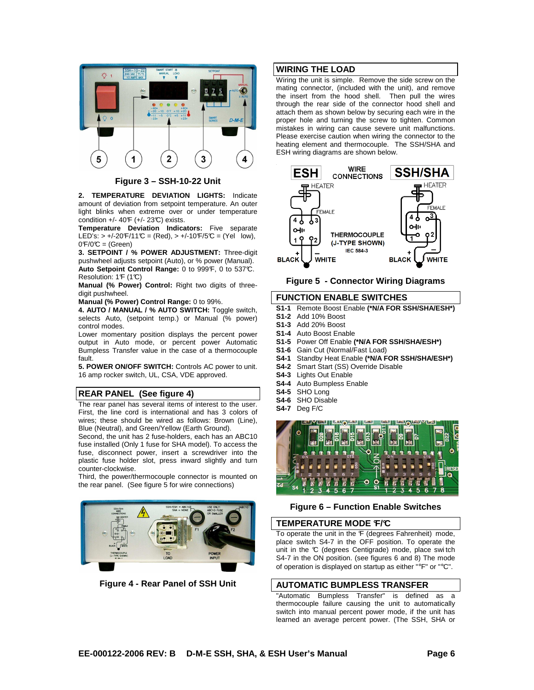

**Figure 3 – SSH-10-22 Unit**

**2. TEMPERATURE DEVIATION LIGHTS:** Indicate amount of deviation from setpoint temperature. An outer light blinks when extreme over or under temperature condition  $+/- 40F (+/- 23C)$  exists.

**Temperature Deviation Indicators:** Five separate LED's:  $> +/-20$ °F/11°C = (Red),  $> +/-10$ °F/5°C = (Yel low),  $0\mathcal{F}/0\mathcal{C} = (Green)$ 

**3. SETPOINT / % POWER ADJUSTMENT:** Three-digit pushwheel adjusts setpoint (Auto), or % power (Manual). Auto Setpoint Control Range: 0 to 999<sup>F</sup>, 0 to 537°C. Resolution: 1F (1C)

**Manual (% Power) Control:** Right two digits of threedigit pushwheel.

**Manual (% Power) Control Range:** 0 to 99%.

**4. AUTO / MANUAL / % AUTO SWITCH:** Toggle switch, selects Auto, (setpoint temp.) or Manual (% power) control modes.

Lower momentary position displays the percent power output in Auto mode, or percent power Automatic Bumpless Transfer value in the case of a thermocouple fault.

**5. POWER ON/OFF SWITCH:** Controls AC power to unit. 16 amp rocker switch, UL, CSA, VDE approved.

#### **REAR PANEL (See figure 4)**

The rear panel has several items of interest to the user. First, the line cord is international and has 3 colors of wires; these should be wired as follows: Brown (Line), Blue (Neutral), and Green/Yellow (Earth Ground).

Second, the unit has 2 fuse-holders, each has an ABC10 fuse installed (Only 1 fuse for SHA model). To access the fuse, disconnect power, insert a screwdriver into the plastic fuse holder slot, press inward slightly and turn counter-clockwise.

Third, the power/thermocouple connector is mounted on the rear panel. (See figure 5 for wire connections)



**Figure 4 - Rear Panel of SSH Unit**

#### **WIRING THE LOAD**

Wiring the unit is simple. Remove the side screw on the mating connector, (included with the unit), and remove the insert from the hood shell. Then pull the wires through the rear side of the connector hood shell and attach them as shown below by securing each wire in the proper hole and turning the screw to tighten. Common mistakes in wiring can cause severe unit malfunctions. Please exercise caution when wiring the connector to the heating element and thermocouple. The SSH/SHA and ESH wiring diagrams are shown below.



#### **Figure 5 - Connector Wiring Diagrams**

#### **FUNCTION ENABLE SWITCHES**

- **S1-1** Remote Boost Enable **(\*N/A FOR SSH/SHA/ESH\*)**
- **S1-2** Add 10% Boost
- **S1-3** Add 20% Boost
- **S1-4** Auto Boost Enable
- **S1-5** Power Off Enable **(\*N/A FOR SSH/SHA/ESH\*)**
- **S1-6** Gain Cut (Normal/Fast Load)
- **S4-1** Standby Heat Enable **(\*N/A FOR SSH/SHA/ESH\*)**
- **S4-2** Smart Start (SS) Override Disable
- **S4-3** Lights Out Enable
- **S4-4** Auto Bumpless Enable
- **S4-5** SHO Long **S4-6** SHO Disable
- **S4-7** Deg F/C



**Figure 6 – Function Enable Switches** 

#### **TEMPERATURE MODE °F/°C**

To operate the unit in the F (degrees Fahrenheit) mode, place switch S4-7 in the OFF position. To operate the unit in the °C (degrees Centigrade) mode, place switch S4-7 in the ON position. (see figures 6 and 8) The mode of operation is displayed on startup as either "°F" or "°C".

#### **AUTOMATIC BUMPLESS TRANSFER**

"Automatic Bumpless Transfer" is defined as a thermocouple failure causing the unit to automatically switch into manual percent power mode, if the unit has learned an average percent power. (The SSH, SHA or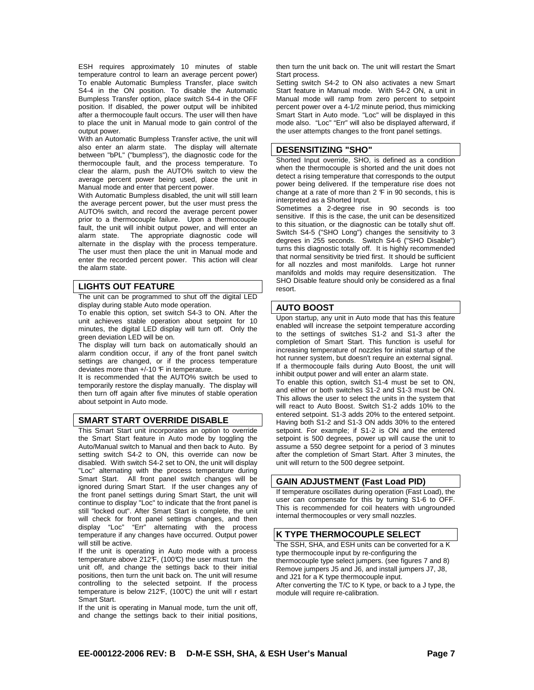ESH requires approximately 10 minutes of stable temperature control to learn an average percent power) To enable Automatic Bumpless Transfer, place switch S4-4 in the ON position. To disable the Automatic Bumpless Transfer option, place switch S4-4 in the OFF position. If disabled, the power output will be inhibited after a thermocouple fault occurs. The user will then have to place the unit in Manual mode to gain control of the output power.

With an Automatic Bumpless Transfer active, the unit will also enter an alarm state. The display will alternate between "bPL" ("bumpless"), the diagnostic code for the thermocouple fault, and the process temperature. To clear the alarm, push the AUTO% switch to view the average percent power being used, place the unit in Manual mode and enter that percent power.

With Automatic Bumpless disabled, the unit will still learn the average percent power, but the user must press the AUTO% switch, and record the average percent power prior to a thermocouple failure. Upon a thermocouple fault, the unit will inhibit output power, and will enter an alarm state. The appropriate diagnostic code will alternate in the display with the process temperature. The user must then place the unit in Manual mode and enter the recorded percent power. This action will clear the alarm state.

#### **LIGHTS OUT FEATURE**

The unit can be programmed to shut off the digital LED display during stable Auto mode operation.

To enable this option, set switch S4-3 to ON. After the unit achieves stable operation about setpoint for 10 minutes, the digital LED display will turn off. Only the green deviation LED will be on.

The display will turn back on automatically should an alarm condition occur, if any of the front panel switch settings are changed, or if the process temperature deviates more than  $+/10$   $F$  in temperature.

It is recommended that the AUTO% switch be used to temporarily restore the display manually. The display will then turn off again after five minutes of stable operation about setpoint in Auto mode.

#### **SMART START OVERRIDE DISABLE**

This Smart Start unit incorporates an option to override the Smart Start feature in Auto mode by toggling the Auto/Manual switch to Manual and then back to Auto. By setting switch S4-2 to ON, this override can now be disabled. With switch S4-2 set to ON, the unit will display "Loc" alternating with the process temperature during Smart Start. All front panel switch changes will be ignored during Smart Start. If the user changes any of the front panel settings during Smart Start, the unit will continue to display "Loc" to indicate that the front panel is still "locked out". After Smart Start is complete, the unit will check for front panel settings changes, and then display "Loc" "Err" alternating with the process temperature if any changes have occurred. Output power will still be active.

If the unit is operating in Auto mode with a process temperature above 212 $F$ , (100 $C$ ) the user must turn the unit off, and change the settings back to their initial positions, then turn the unit back on. The unit will resume controlling to the selected setpoint. If the process temperature is below 212 $F$ , (100 $C$ ) the unit will r estart Smart Start.

If the unit is operating in Manual mode, turn the unit off, and change the settings back to their initial positions, then turn the unit back on. The unit will restart the Smart Start process.

Setting switch S4-2 to ON also activates a new Smart Start feature in Manual mode. With S4-2 ON, a unit in Manual mode will ramp from zero percent to setpoint percent power over a 4-1/2 minute period, thus mimicking Smart Start in Auto mode. "Loc" will be displayed in this mode also. "Loc" "Err" will also be displayed afterward, if the user attempts changes to the front panel settings.

#### **DESENSITIZING "SHO"**

Shorted Input override, SHO, is defined as a condition when the thermocouple is shorted and the unit does not detect a rising temperature that corresponds to the output power being delivered. If the temperature rise does not change at a rate of more than  $2 \nF$  in 90 seconds, this is interpreted as a Shorted Input.

Sometimes a 2-degree rise in 90 seconds is too sensitive. If this is the case, the unit can be desensitized to this situation, or the diagnostic can be totally shut off. Switch S4-5 ("SHO Long") changes the sensitivity to 3 degrees in 255 seconds. Switch S4-6 ("SHO Disable") turns this diagnostic totally off. It is highly recommended that normal sensitivity be tried first. It should be sufficient for all nozzles and most manifolds. Large hot runner manifolds and molds may require desensitization. The SHO Disable feature should only be considered as a final resort.

#### **AUTO BOOST**

Upon startup, any unit in Auto mode that has this feature enabled will increase the setpoint temperature according to the settings of switches S1-2 and S1-3 after the completion of Smart Start. This function is useful for increasing temperature of nozzles for initial startup of the hot runner system, but doesn't require an external signal. If a thermocouple fails during Auto Boost, the unit will inhibit output power and will enter an alarm state.

To enable this option, switch S1-4 must be set to ON, and either or both switches S1-2 and S1-3 must be ON. This allows the user to select the units in the system that will react to Auto Boost. Switch S1-2 adds 10% to the entered setpoint. S1-3 adds 20% to the entered setpoint. Having both S1-2 and S1-3 ON adds 30% to the entered setpoint. For example; if S1-2 is ON and the entered setpoint is 500 degrees, power up will cause the unit to assume a 550 degree setpoint for a period of 3 minutes after the completion of Smart Start. After 3 minutes, the unit will return to the 500 degree setpoint.

#### **GAIN ADJUSTMENT (Fast Load PID)**

If temperature oscillates during operation (Fast Load), the user can compensate for this by turning S1-6 to OFF. This is recommended for coil heaters with ungrounded internal thermocouples or very small nozzles.

#### **K TYPE THERMOCOUPLE SELECT**

The SSH, SHA, and ESH units can be converted for a K type thermocouple input by re-configuring the thermocouple type select jumpers. (see figures 7 and 8) Remove jumpers J5 and J6, and install jumpers J7, J8, and J21 for a K type thermocouple input. After converting the T/C to K type, or back to a J type, the module will require re-calibration.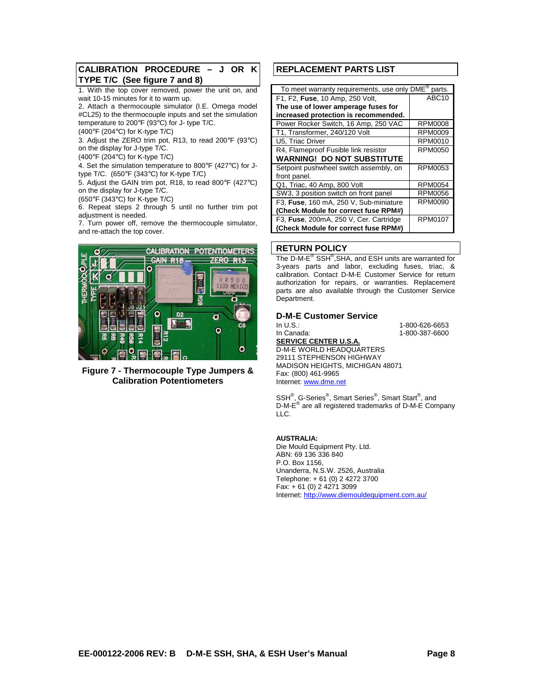#### **CALIBRATION PROCEDURE – J OR K TYPE T/C (See figure 7 and 8)**

1. With the top cover removed, power the unit on, and wait 10-15 minutes for it to warm up.

2. Attach a thermocouple simulator (I.E. Omega model #CL25) to the thermocouple inputs and set the simulation

temperature to 200°F (93°C) for J- type T/C.

(400°F (204°C) for K-type T/C)

3. Adjust the ZERO trim pot, R13, to read 200°F (93°C) on the display for J-type T/C.

(400°F (204°C) for K-type T/C)

4. Set the simulation temperature to 800°F (427°C) for Jtype T/C. (650°F (343°C) for K-type T/C)

5. Adjust the GAIN trim pot, R18, to read 800°F (427°C) on the display for J-type T/C.

(650°F (343°C) for K-type T/C)

6. Repeat steps 2 through 5 until no further trim pot adjustment is needed.

7. Turn power off, remove the thermocouple simulator, and re-attach the top cover.



**Figure 7 - Thermocouple Type Jumpers & Calibration Potentiometers** 

#### **REPLACEMENT PARTS LIST**

| To meet warranty requirements, use only DME®<br>parts. |                |  |  |  |
|--------------------------------------------------------|----------------|--|--|--|
| F1, F2, Fuse, 10 Amp, 250 Volt,                        | ABC10          |  |  |  |
| The use of lower amperage fuses for                    |                |  |  |  |
| increased protection is recommended.                   |                |  |  |  |
| Power Rocker Switch, 16 Amp, 250 VAC                   | <b>RPM0008</b> |  |  |  |
| T1, Transformer, 240/120 Volt                          | <b>RPM0009</b> |  |  |  |
| U5, Triac Driver                                       | RPM0010        |  |  |  |
| R4, Flameproof Fusible link resistor                   | <b>RPM0050</b> |  |  |  |
| <b>WARNING! DO NOT SUBSTITUTE</b>                      |                |  |  |  |
| Setpoint pushwheel switch assembly, on                 | <b>RPM0053</b> |  |  |  |
| front panel.                                           |                |  |  |  |
| Q1, Triac, 40 Amp, 800 Volt                            | <b>RPM0054</b> |  |  |  |
| SW3, 3 position switch on front panel                  | <b>RPM0056</b> |  |  |  |
| F3, Fuse, 160 mA, 250 V, Sub-miniature                 | <b>RPM0090</b> |  |  |  |
| (Check Module for correct fuse RPM#)                   |                |  |  |  |
| F3, Fuse, 200mA, 250 V, Cer. Cartridge                 | <b>RPM0107</b> |  |  |  |
| (Check Module for correct fuse RPM#)                   |                |  |  |  |

#### **RETURN POLICY**

The D-M-E<sup>®</sup> SSH<sup>®</sup>, SHA, and ESH units are warranted for 3-years parts and labor, excluding fuses, triac, & calibration. Contact D-M-E Customer Service for return authorization for repairs, or warranties. Replacement parts are also available through the Customer Service Department.

## **D-M-E Customer Service**

1-800-626-6653 In Canada: 1-800-387-6600 **SERVICE CENTER U.S.A.** D-M-E WORLD HEADQUARTERS 29111 STEPHENSON HIGHWAY MADISON HEIGHTS, MICHIGAN 48071 Fax: (800) 461-9965 Internet: www.dme.net

SSH<sup>®</sup>, G-Series<sup>®</sup>, Smart Series<sup>®</sup>, Smart Start<sup>®</sup>, and D-M-E<sup>®</sup> are all registered trademarks of D-M-E Company LLC.

#### **AUSTRALIA:**

Die Mould Equipment Pty. Ltd. ABN: 69 136 336 840 P.O. Box 1156, Unanderra, N.S.W. 2526, Australia Telephone: + 61 (0) 2 4272 3700 Fax: + 61 (0) 2 4271 3099 Internet: http://www.diemouldequipment.com.au/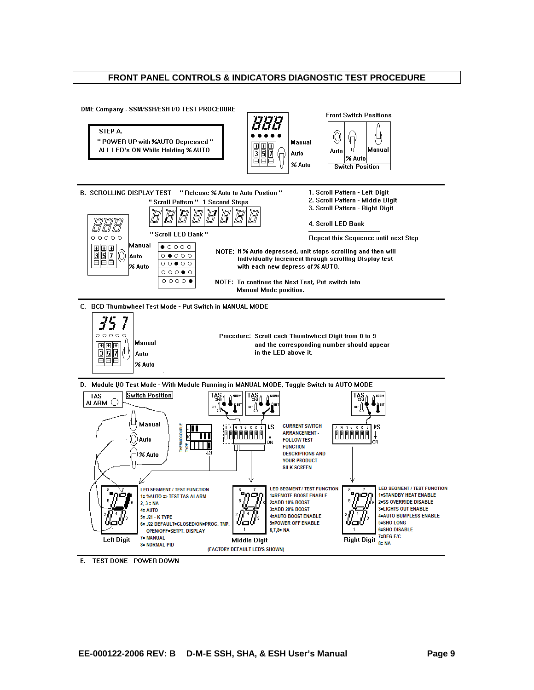#### **FRONT PANEL CONTROLS & INDICATORS DIAGNOSTIC TEST PROCEDURE**



E. TEST DONE - POWER DOWN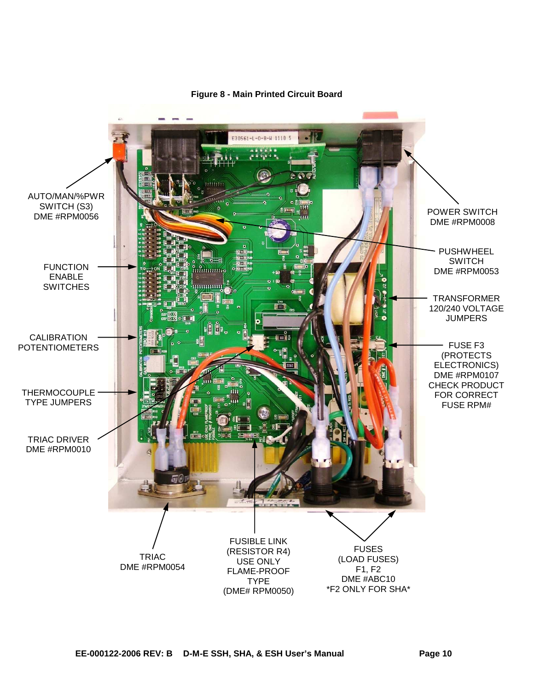

#### **Figure 8 - Main Printed Circuit Board**